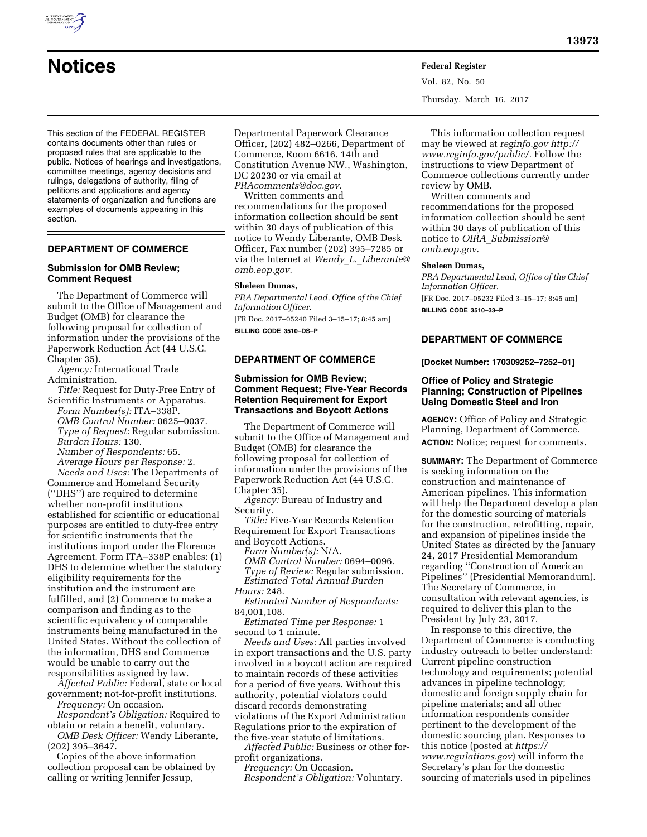

**Notices Federal Register** Vol. 82, No. 50 Thursday, March 16, 2017

This section of the FEDERAL REGISTER contains documents other than rules or proposed rules that are applicable to the public. Notices of hearings and investigations, committee meetings, agency decisions and rulings, delegations of authority, filing of petitions and applications and agency statements of organization and functions are examples of documents appearing in this section.

# **DEPARTMENT OF COMMERCE**

### **Submission for OMB Review; Comment Request**

The Department of Commerce will submit to the Office of Management and Budget (OMB) for clearance the following proposal for collection of information under the provisions of the Paperwork Reduction Act (44 U.S.C. Chapter 35).

*Agency:* International Trade Administration.

*Title:* Request for Duty-Free Entry of Scientific Instruments or Apparatus.

*Form Number(s):* ITA–338P. *OMB Control Number:* 0625–0037. *Type of Request:* Regular submission. *Burden Hours:* 130. *Number of Respondents:* 65.

*Average Hours per Response:* 2. *Needs and Uses:* The Departments of Commerce and Homeland Security (''DHS'') are required to determine whether non-profit institutions established for scientific or educational purposes are entitled to duty-free entry for scientific instruments that the institutions import under the Florence Agreement. Form ITA–338P enables: (1) DHS to determine whether the statutory eligibility requirements for the institution and the instrument are fulfilled, and (2) Commerce to make a comparison and finding as to the scientific equivalency of comparable instruments being manufactured in the United States. Without the collection of the information, DHS and Commerce would be unable to carry out the responsibilities assigned by law.

*Affected Public:* Federal, state or local government; not-for-profit institutions. *Frequency:* On occasion.

*Respondent's Obligation:* Required to obtain or retain a benefit, voluntary.

*OMB Desk Officer:* Wendy Liberante, (202) 395–3647.

Copies of the above information collection proposal can be obtained by calling or writing Jennifer Jessup,

Departmental Paperwork Clearance Officer, (202) 482–0266, Department of Commerce, Room 6616, 14th and Constitution Avenue NW., Washington, DC 20230 or via email at *[PRAcomments@doc.gov.](mailto:PRAcomments@doc.gov)* 

Written comments and recommendations for the proposed information collection should be sent within 30 days of publication of this notice to Wendy Liberante, OMB Desk Officer, Fax number (202) 395–7285 or via the Internet at *Wendy*\_*L.*\_*[Liberante@](mailto:Wendy_L._Liberante@omb.eop.gov) [omb.eop.gov.](mailto:Wendy_L._Liberante@omb.eop.gov)* 

### **Sheleen Dumas,**

*PRA Departmental Lead, Office of the Chief Information Officer.* 

[FR Doc. 2017–05240 Filed 3–15–17; 8:45 am] **BILLING CODE 3510–DS–P** 

### **DEPARTMENT OF COMMERCE**

## **Submission for OMB Review; Comment Request; Five-Year Records Retention Requirement for Export Transactions and Boycott Actions**

The Department of Commerce will submit to the Office of Management and Budget (OMB) for clearance the following proposal for collection of information under the provisions of the Paperwork Reduction Act (44 U.S.C. Chapter 35)

*Agency:* Bureau of Industry and Security.

*Title:* Five-Year Records Retention Requirement for Export Transactions and Boycott Actions.

*Form Number(s):* N/A. *OMB Control Number:* 0694–0096. *Type of Review:* Regular submission. *Estimated Total Annual Burden* 

*Hours:* 248. *Estimated Number of Respondents:* 

84,001,108. *Estimated Time per Response:* 1

second to 1 minute.

*Needs and Uses:* All parties involved in export transactions and the U.S. party involved in a boycott action are required to maintain records of these activities for a period of five years. Without this authority, potential violators could discard records demonstrating violations of the Export Administration Regulations prior to the expiration of the five-year statute of limitations.

*Affected Public:* Business or other forprofit organizations.

*Frequency:* On Occasion. *Respondent's Obligation:* Voluntary.

This information collection request may be viewed at *reginfo.gov [http://](http://www.reginfo.gov/public/) [www.reginfo.gov/public/.](http://www.reginfo.gov/public/)* Follow the instructions to view Department of Commerce collections currently under review by OMB.

Written comments and recommendations for the proposed information collection should be sent within 30 days of publication of this notice to *OIRA*\_*[Submission@](mailto:OIRA_Submission@omb.eop.gov) [omb.eop.gov](mailto:OIRA_Submission@omb.eop.gov)*.

#### **Sheleen Dumas,**

*PRA Departmental Lead, Office of the Chief Information Officer.* 

[FR Doc. 2017–05232 Filed 3–15–17; 8:45 am] **BILLING CODE 3510–33–P** 

# **DEPARTMENT OF COMMERCE**

**[Docket Number: 170309252–7252–01]** 

## **Office of Policy and Strategic Planning; Construction of Pipelines Using Domestic Steel and Iron**

**AGENCY:** Office of Policy and Strategic Planning, Department of Commerce. **ACTION:** Notice; request for comments.

**SUMMARY:** The Department of Commerce is seeking information on the construction and maintenance of American pipelines. This information will help the Department develop a plan for the domestic sourcing of materials for the construction, retrofitting, repair, and expansion of pipelines inside the United States as directed by the January 24, 2017 Presidential Memorandum regarding ''Construction of American Pipelines'' (Presidential Memorandum). The Secretary of Commerce, in consultation with relevant agencies, is required to deliver this plan to the President by July 23, 2017.

In response to this directive, the Department of Commerce is conducting industry outreach to better understand: Current pipeline construction technology and requirements; potential advances in pipeline technology; domestic and foreign supply chain for pipeline materials; and all other information respondents consider pertinent to the development of the domestic sourcing plan. Responses to this notice (posted at *[https://](https://www.regulations.gov) [www.regulations.gov](https://www.regulations.gov)*) will inform the Secretary's plan for the domestic sourcing of materials used in pipelines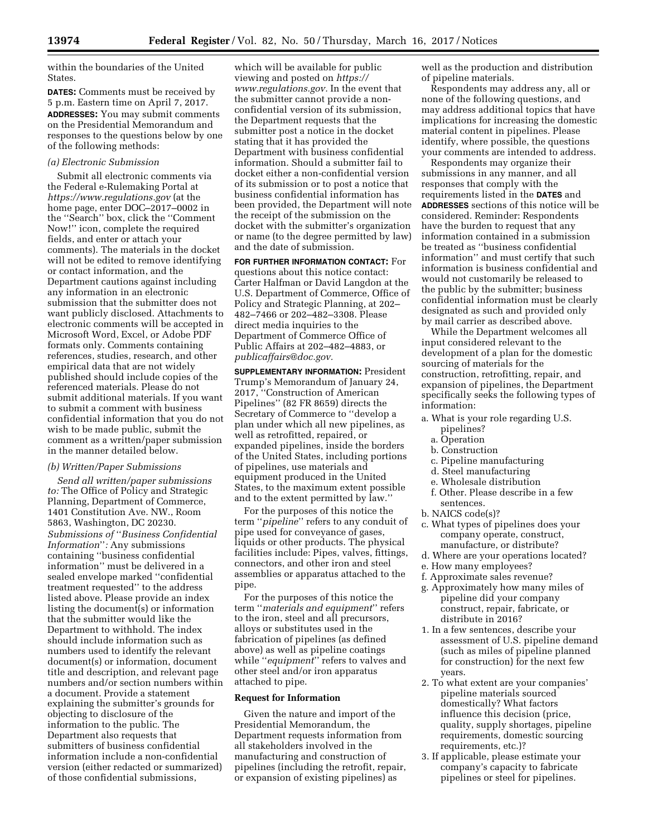within the boundaries of the United States.

**DATES:** Comments must be received by 5 p.m. Eastern time on April 7, 2017. **ADDRESSES:** You may submit comments on the Presidential Memorandum and responses to the questions below by one of the following methods:

## *(a) Electronic Submission*

Submit all electronic comments via the Federal e-Rulemaking Portal at *<https://www.regulations.gov>* (at the home page, enter DOC–2017–0002 in the ''Search'' box, click the ''Comment Now!'' icon, complete the required fields, and enter or attach your comments). The materials in the docket will not be edited to remove identifying or contact information, and the Department cautions against including any information in an electronic submission that the submitter does not want publicly disclosed. Attachments to electronic comments will be accepted in Microsoft Word, Excel, or Adobe PDF formats only. Comments containing references, studies, research, and other empirical data that are not widely published should include copies of the referenced materials. Please do not submit additional materials. If you want to submit a comment with business confidential information that you do not wish to be made public, submit the comment as a written/paper submission in the manner detailed below.

### *(b) Written/Paper Submissions*

*Send all written/paper submissions to:* The Office of Policy and Strategic Planning, Department of Commerce, 1401 Constitution Ave. NW., Room 5863, Washington, DC 20230. *Submissions of* ''*Business Confidential Information*''*:* Any submissions containing ''business confidential information'' must be delivered in a sealed envelope marked ''confidential treatment requested'' to the address listed above. Please provide an index listing the document(s) or information that the submitter would like the Department to withhold. The index should include information such as numbers used to identify the relevant document(s) or information, document title and description, and relevant page numbers and/or section numbers within a document. Provide a statement explaining the submitter's grounds for objecting to disclosure of the information to the public. The Department also requests that submitters of business confidential information include a non-confidential version (either redacted or summarized) of those confidential submissions,

which will be available for public viewing and posted on *[https://](https://www.regulations.gov) [www.regulations.gov.](https://www.regulations.gov)* In the event that the submitter cannot provide a nonconfidential version of its submission, the Department requests that the submitter post a notice in the docket stating that it has provided the Department with business confidential information. Should a submitter fail to docket either a non-confidential version of its submission or to post a notice that business confidential information has been provided, the Department will note the receipt of the submission on the docket with the submitter's organization or name (to the degree permitted by law) and the date of submission.

**FOR FURTHER INFORMATION CONTACT:** For questions about this notice contact: Carter Halfman or David Langdon at the U.S. Department of Commerce, Office of Policy and Strategic Planning, at 202– 482–7466 or 202–482–3308. Please direct media inquiries to the Department of Commerce Office of Public Affairs at 202–482–4883, or *[publicaffairs@doc.gov.](mailto:publicaffairs@doc.gov)* 

**SUPPLEMENTARY INFORMATION:** President Trump's Memorandum of January 24, 2017, ''Construction of American Pipelines'' (82 FR 8659) directs the Secretary of Commerce to ''develop a plan under which all new pipelines, as well as retrofitted, repaired, or expanded pipelines, inside the borders of the United States, including portions of pipelines, use materials and equipment produced in the United States, to the maximum extent possible and to the extent permitted by law.''

For the purposes of this notice the term ''*pipeline*'' refers to any conduit of pipe used for conveyance of gases, liquids or other products. The physical facilities include: Pipes, valves, fittings, connectors, and other iron and steel assemblies or apparatus attached to the pipe.

For the purposes of this notice the term ''*materials and equipment*'' refers to the iron, steel and all precursors, alloys or substitutes used in the fabrication of pipelines (as defined above) as well as pipeline coatings while ''*equipment*'' refers to valves and other steel and/or iron apparatus attached to pipe.

### **Request for Information**

Given the nature and import of the Presidential Memorandum, the Department requests information from all stakeholders involved in the manufacturing and construction of pipelines (including the retrofit, repair, or expansion of existing pipelines) as

well as the production and distribution of pipeline materials.

Respondents may address any, all or none of the following questions, and may address additional topics that have implications for increasing the domestic material content in pipelines. Please identify, where possible, the questions your comments are intended to address.

Respondents may organize their submissions in any manner, and all responses that comply with the requirements listed in the **DATES** and **ADDRESSES** sections of this notice will be considered. Reminder: Respondents have the burden to request that any information contained in a submission be treated as ''business confidential information'' and must certify that such information is business confidential and would not customarily be released to the public by the submitter; business confidential information must be clearly designated as such and provided only by mail carrier as described above.

While the Department welcomes all input considered relevant to the development of a plan for the domestic sourcing of materials for the construction, retrofitting, repair, and expansion of pipelines, the Department specifically seeks the following types of information:

- a. What is your role regarding U.S. pipelines?
	- a. Operation
	- b. Construction
	- c. Pipeline manufacturing
	- d. Steel manufacturing
	- e. Wholesale distribution
	- f. Other. Please describe in a few sentences.
- b. NAICS code(s)?
- c. What types of pipelines does your company operate, construct, manufacture, or distribute?
- d. Where are your operations located?
- e. How many employees?
- f. Approximate sales revenue?
- g. Approximately how many miles of pipeline did your company construct, repair, fabricate, or distribute in 2016?
- 1. In a few sentences, describe your assessment of U.S. pipeline demand (such as miles of pipeline planned for construction) for the next few years.
- 2. To what extent are your companies' pipeline materials sourced domestically? What factors influence this decision (price, quality, supply shortages, pipeline requirements, domestic sourcing requirements, etc.)?
- 3. If applicable, please estimate your company's capacity to fabricate pipelines or steel for pipelines.